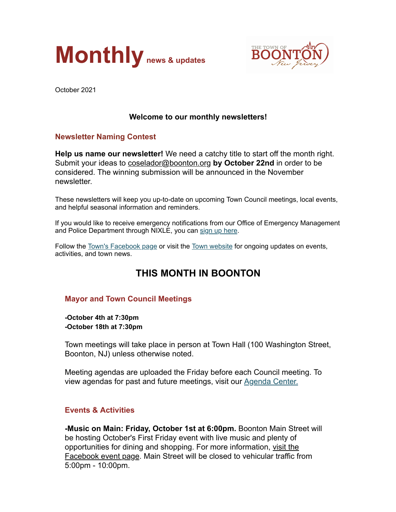



October 2021

# **Welcome to our monthly newsletters!**

### **Newsletter Naming Contest**

**Help us name our newsletter!** We need a catchy title to start off the month right. Submit your ideas to [coselador@boonton.org](mailto:coselador@boonton.org) **by October 22nd** in order to be considered. The winning submission will be announced in the November newsletter.

These newsletters will keep you up-to-date on upcoming Town Council meetings, local events, and helpful seasonal information and reminders.

If you would like to receive emergency notifications from our Office of Emergency Management and Police Department through NIXLE, you can [sign up here](https://www.boonton.org/347/Sign-up-for-Notifications).

Follow the [Town's Facebook page](https://www.facebook.com/BoontonNJ) or visit the [Town website](https://www.boonton.org/) for ongoing updates on events, activities, and town news.

# **THIS MONTH IN BOONTON**

### **Mayor and Town Council Meetings**

**-October 4th at 7:30pm -October 18th at 7:30pm**

Town meetings will take place in person at Town Hall (100 Washington Street, Boonton, NJ) unless otherwise noted.

Meeting agendas are uploaded the Friday before each Council meeting. To view agendas for past and future meetings, visit our [Agenda Center.](https://www.boonton.org/AgendaCenter)

### **Events & Activities**

**-Music on Main: Friday, October 1st at 6:00pm.** Boonton Main Street will be hosting October's First Friday event with live music and plenty of [opportunities for dining and shopping. For more information, visit the](https://www.facebook.com/events/1041652136602221/?ref=newsfeed) Facebook event page. Main Street will be closed to vehicular traffic from 5:00pm - 10:00pm.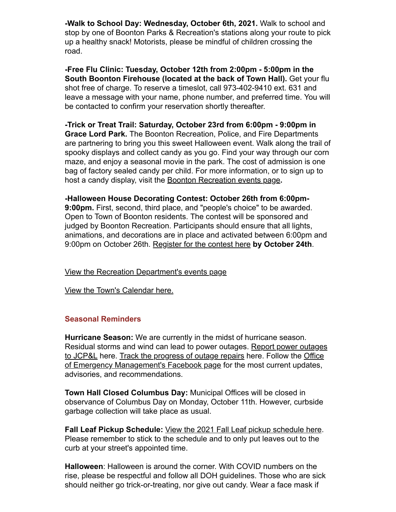**-Walk to School Day: Wednesday, October 6th, 2021.** Walk to school and stop by one of Boonton Parks & Recreation's stations along your route to pick up a healthy snack! Motorists, please be mindful of children crossing the road.

**-Free Flu Clinic: Tuesday, October 12th from 2:00pm - 5:00pm in the South Boonton Firehouse (located at the back of Town Hall).** Get your flu shot free of charge. To reserve a timeslot, call 973-402-9410 ext. 631 and leave a message with your name, phone number, and preferred time. You will be contacted to confirm your reservation shortly thereafter.

**-Trick or Treat Trail: Saturday, October 23rd from 6:00pm - 9:00pm in Grace Lord Park.** The Boonton Recreation, Police, and Fire Departments are partnering to bring you this sweet Halloween event. Walk along the trail of spooky displays and collect candy as you go. Find your way through our corn maze, and enjoy a seasonal movie in the park. The cost of admission is one bag of factory sealed candy per child. For more information, or to sign up to host a candy display, visit the [Boonton Recreation events page](https://www.boonton.org/446/Special-Events)**.**

**-Halloween House Decorating Contest: October 26th from 6:00pm-9:00pm.** First, second, third place, and "people's choice" to be awarded. Open to Town of Boonton residents. The contest will be sponsored and judged by Boonton Recreation. Participants should ensure that all lights, animations, and decorations are in place and activated between 6:00pm and 9:00pm on October 26th. [Register for the contest here](https://boonton.recdesk.com/Community/Home) **by October 24th**.

[View the Recreation Department's events page](https://www.boonton.org/446/Special-Events)

[View the Town's Calendar here.](https://www.boonton.org/calendar.aspx)

### **Seasonal Reminders**

**Hurricane Season:** We are currently in the midst of hurricane season. [Residual storms and wind can lead to power outages. Report power outages](https://www.firstenergycorp.com/outages_help/Report_Power_Outages.html) [to JCP&L here. Track the progress of outage repairs here. Follow the Office](https://www.facebook.com/Town-of-Boonton-OEM-102677125319113) of Emergency Management's Facebook page for the most current updates, advisories, and recommendations.

**Town Hall Closed Columbus Day:** Municipal Offices will be closed in observance of Columbus Day on Monday, October 11th. However, curbside garbage collection will take place as usual.

**Fall Leaf Pickup Schedule:** [View the 2021 Fall Leaf pickup schedule here.](https://www.boonton.org/152/Fall-Leaf-Pick-Up) Please remember to stick to the schedule and to only put leaves out to the curb at your street's appointed time.

**Halloween**: Halloween is around the corner. With COVID numbers on the rise, please be respectful and follow all DOH guidelines. Those who are sick should neither go trick-or-treating, nor give out candy. Wear a face mask if